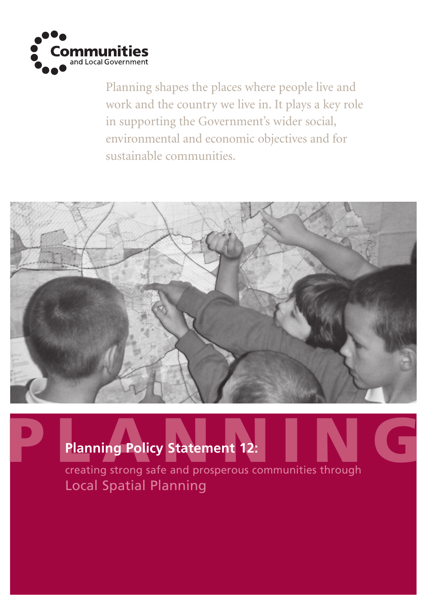

Planning shapes the places where people live and work and the country we live in. It plays a key role in supporting the Government's wider social, environmental and economic objectives and for sustainable communities.



# Planning Policy Statement 12: No. 1999 **Planning Policy Statement 12:**

Local Spatial Planning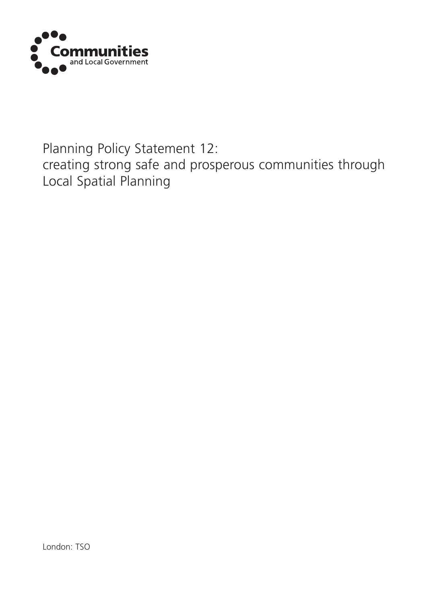

# Planning Policy Statement 12: creating strong safe and prosperous communities through Local Spatial Planning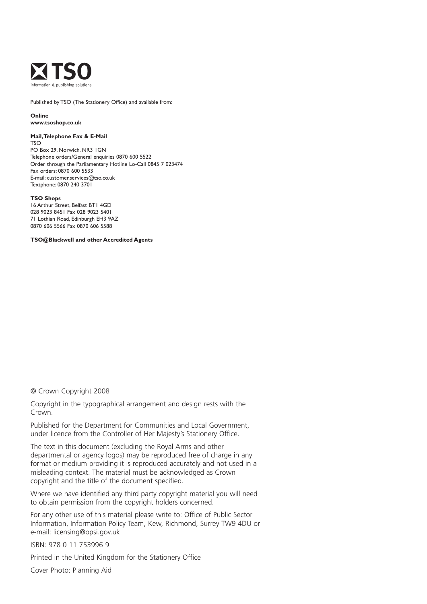

Published by TSO (The Stationery Office) and available from:

**Online www.tsoshop.co.uk**

#### **Mail, Telephone Fax & E-Mail**

TSO PO Box 29, Norwich, NR3 1GN Telephone orders/General enquiries 0870 600 5522 Order through the Parliamentary Hotline Lo-Call 0845 7 023474 Fax orders: 0870 600 5533 E-mail: customer.services@tso.co.uk Textphone: 0870 240 3701

#### **TSO Shops**

16 Arthur Street, Belfast BT1 4GD 028 9023 8451 Fax 028 9023 5401 71 Lothian Road, Edinburgh EH3 9AZ 0870 606 5566 Fax 0870 606 5588

**TSO@Blackwell and other Accredited Agents**

© Crown Copyright 2008

Copyright in the typographical arrangement and design rests with the Crown.

Published for the Department for Communities and Local Government, under licence from the Controller of Her Majesty's Stationery Office.

The text in this document (excluding the Royal Arms and other departmental or agency logos) may be reproduced free of charge in any format or medium providing it is reproduced accurately and not used in a misleading context. The material must be acknowledged as Crown copyright and the title of the document specified.

Where we have identified any third party copyright material you will need to obtain permission from the copyright holders concerned.

For any other use of this material please write to: Office of Public Sector Information, Information Policy Team, Kew, Richmond, Surrey TW9 4DU or e-mail: licensing@opsi.gov.uk

ISBN: 978 0 11 753996 9

Printed in the United Kingdom for the Stationery Office

Cover Photo: Planning Aid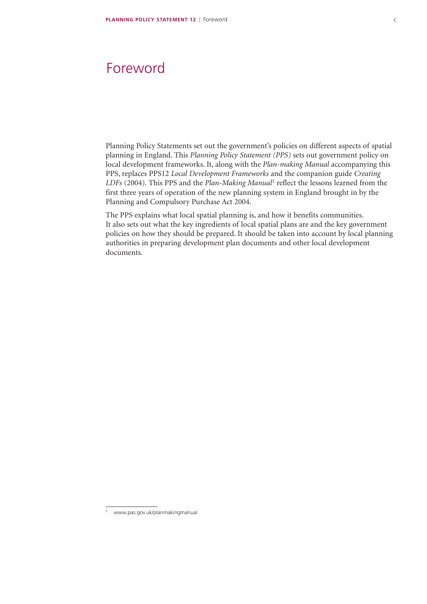### Foreword

Planning Policy Statements set out the government's policies on different aspects of spatial planning in England. This *Planning Policy Statement (PPS)* sets out government policy on local development frameworks. It, along with the *Plan-making Manual* accompanying this PPS, replaces PPS12 *Local Development Frameworks* and the companion guide *Creating*  LDFs (2004). This PPS and the *Plan-Making Manual<sup>1</sup>* reflect the lessons learned from the first three years of operation of the new planning system in England brought in by the Planning and Compulsory Purchase Act 2004.

The PPS explains what local spatial planning is, and how it benefits communities. It also sets out what the key ingredients of local spatial plans are and the key government policies on how they should be prepared. It should be taken into account by local planning authorities in preparing development plan documents and other local development documents.

www.pas.gov.uk/planmakingmanual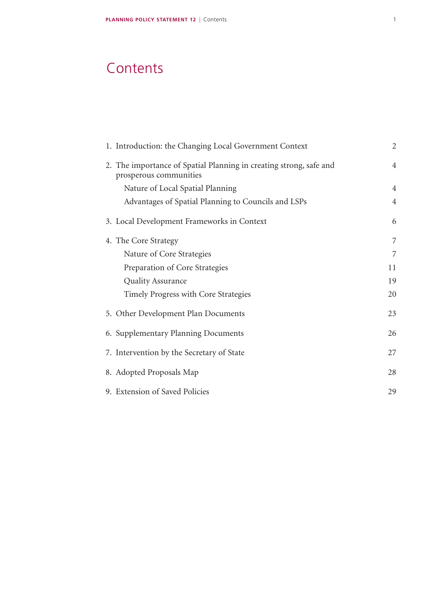# **Contents**

|  | 1. Introduction: the Changing Local Government Context                                       | $\overline{2}$ |
|--|----------------------------------------------------------------------------------------------|----------------|
|  | 2. The importance of Spatial Planning in creating strong, safe and<br>prosperous communities | $\overline{4}$ |
|  | Nature of Local Spatial Planning                                                             | $\overline{4}$ |
|  | Advantages of Spatial Planning to Councils and LSPs                                          | $\overline{4}$ |
|  | 3. Local Development Frameworks in Context                                                   | 6              |
|  | 4. The Core Strategy                                                                         | 7              |
|  | Nature of Core Strategies                                                                    | 7              |
|  | Preparation of Core Strategies                                                               | 11             |
|  | <b>Quality Assurance</b>                                                                     | 19             |
|  | Timely Progress with Core Strategies                                                         | 20             |
|  | 5. Other Development Plan Documents                                                          | 23             |
|  | 6. Supplementary Planning Documents                                                          | 26             |
|  | 7. Intervention by the Secretary of State                                                    | 27             |
|  | 8. Adopted Proposals Map                                                                     | 28             |
|  | 9. Extension of Saved Policies                                                               | 29             |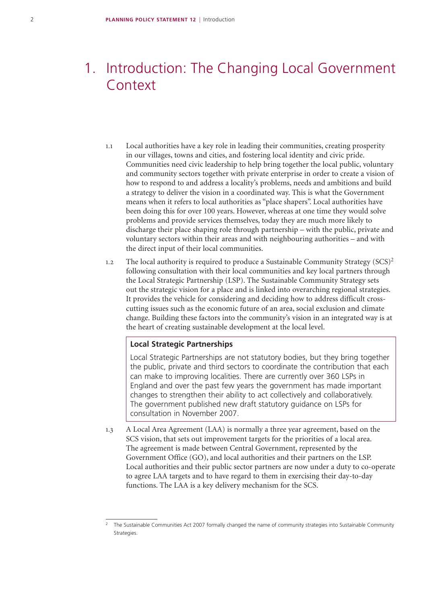# 1. Introduction: The Changing Local Government Context

- 1.1 Local authorities have a key role in leading their communities, creating prosperity in our villages, towns and cities, and fostering local identity and civic pride. Communities need civic leadership to help bring together the local public, voluntary and community sectors together with private enterprise in order to create a vision of how to respond to and address a locality's problems, needs and ambitions and build a strategy to deliver the vision in a coordinated way. This is what the Government means when it refers to local authorities as "place shapers". Local authorities have been doing this for over 100 years. However, whereas at one time they would solve problems and provide services themselves, today they are much more likely to discharge their place shaping role through partnership – with the public, private and voluntary sectors within their areas and with neighbouring authorities – and with the direct input of their local communities.
- 1.2 The local authority is required to produce a Sustainable Community Strategy  $(SCS)^2$ following consultation with their local communities and key local partners through the Local Strategic Partnership (LSP). The Sustainable Community Strategy sets out the strategic vision for a place and is linked into overarching regional strategies. It provides the vehicle for considering and deciding how to address difficult crosscutting issues such as the economic future of an area, social exclusion and climate change. Building these factors into the community's vision in an integrated way is at the heart of creating sustainable development at the local level.

#### **Local Strategic Partnerships**

Local Strategic Partnerships are not statutory bodies, but they bring together the public, private and third sectors to coordinate the contribution that each can make to improving localities. There are currently over 360 LSPs in England and over the past few years the government has made important changes to strengthen their ability to act collectively and collaboratively. The government published new draft statutory guidance on LSPs for consultation in November 2007.

1.3 A Local Area Agreement (LAA) is normally a three year agreement, based on the SCS vision, that sets out improvement targets for the priorities of a local area. The agreement is made between Central Government, represented by the Government Office (GO), and local authorities and their partners on the LSP. Local authorities and their public sector partners are now under a duty to co-operate to agree LAA targets and to have regard to them in exercising their day-to-day functions. The LAA is a key delivery mechanism for the SCS.

<sup>2</sup> The Sustainable Communities Act 2007 formally changed the name of community strategies into Sustainable Community **Strategies**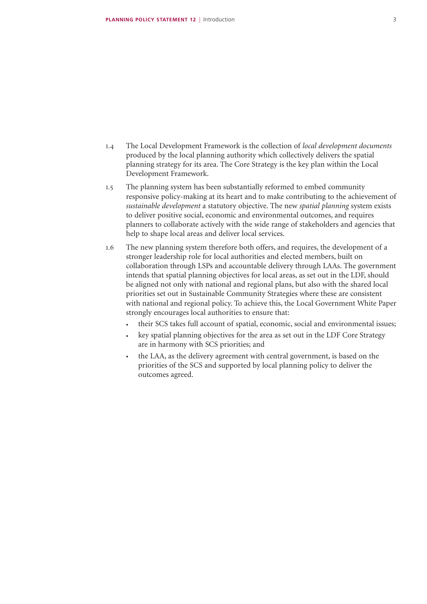- 1.4 The Local Development Framework is the collection of *local development documents* produced by the local planning authority which collectively delivers the spatial planning strategy for its area. The Core Strategy is the key plan within the Local Development Framework.
- 1.5 The planning system has been substantially reformed to embed community responsive policy-making at its heart and to make contributing to the achievement of *sustainable development* a statutory objective. The new *spatial planning* system exists to deliver positive social, economic and environmental outcomes, and requires planners to collaborate actively with the wide range of stakeholders and agencies that help to shape local areas and deliver local services.
- 1.6 The new planning system therefore both offers, and requires, the development of a stronger leadership role for local authorities and elected members, built on collaboration through LSPs and accountable delivery through LAAs. The government intends that spatial planning objectives for local areas, as set out in the LDF, should be aligned not only with national and regional plans, but also with the shared local priorities set out in Sustainable Community Strategies where these are consistent with national and regional policy. To achieve this, the Local Government White Paper strongly encourages local authorities to ensure that:
	- their SCS takes full account of spatial, economic, social and environmental issues;
	- key spatial planning objectives for the area as set out in the LDF Core Strategy are in harmony with SCS priorities; and
	- the LAA, as the delivery agreement with central government, is based on the priorities of the SCS and supported by local planning policy to deliver the outcomes agreed.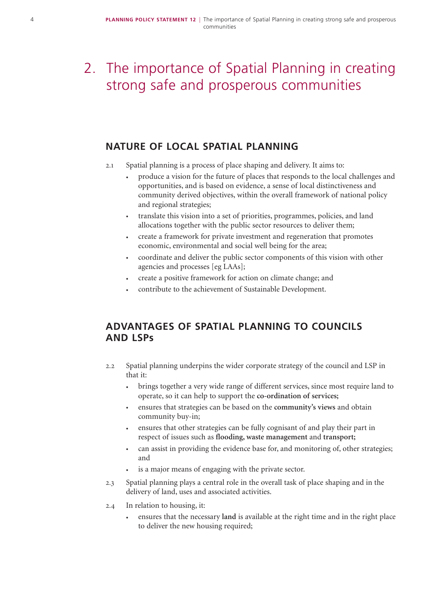# 2. The importance of Spatial Planning in creating strong safe and prosperous communities

### **NATURE OF LOCAL SPATIAL PLANNING**

- 2.1 Spatial planning is a process of place shaping and delivery. It aims to:
	- produce a vision for the future of places that responds to the local challenges and opportunities, and is based on evidence, a sense of local distinctiveness and community derived objectives, within the overall framework of national policy and regional strategies;
	- translate this vision into a set of priorities, programmes, policies, and land allocations together with the public sector resources to deliver them;
	- create a framework for private investment and regeneration that promotes economic, environmental and social well being for the area;
	- coordinate and deliver the public sector components of this vision with other agencies and processes [eg LAAs];
	- create a positive framework for action on climate change; and
	- contribute to the achievement of Sustainable Development.

### **ADVANTAGES OF SPATIAL PLANNING TO COUNCILS AND LSPs**

- 2.2 Spatial planning underpins the wider corporate strategy of the council and LSP in that it:
	- brings together a very wide range of different services, since most require land to operate, so it can help to support the **co-ordination of services;**
	- ensures that strategies can be based on the **community's views** and obtain community buy-in;
	- ensures that other strategies can be fully cognisant of and play their part in respect of issues such as **flooding, waste management** and **transport;**
	- can assist in providing the evidence base for, and monitoring of, other strategies; and
	- is a major means of engaging with the private sector.
- 2.3 Spatial planning plays a central role in the overall task of place shaping and in the delivery of land, uses and associated activities.
- 2.4 In relation to housing, it:
	- ensures that the necessary **land** is available at the right time and in the right place to deliver the new housing required;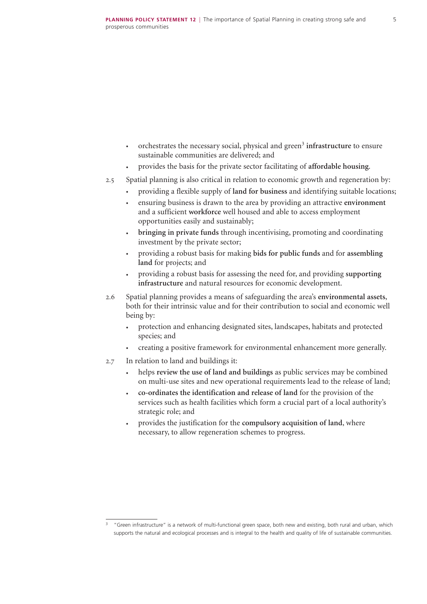- orchestrates the necessary social, physical and green<sup>3</sup> infrastructure to ensure sustainable communities are delivered; and
- provides the basis for the private sector facilitating of **affordable housing**.
- 2.5 Spatial planning is also critical in relation to economic growth and regeneration by:
	- providing a flexible supply of **land for business** and identifying suitable locations;
	- ensuring business is drawn to the area by providing an attractive **environment** and a sufficient **workforce** well housed and able to access employment opportunities easily and sustainably;
	- **bringing in private funds** through incentivising, promoting and coordinating investment by the private sector;
	- providing a robust basis for making **bids for public funds** and for **assembling land** for projects; and
	- providing a robust basis for assessing the need for, and providing **supporting infrastructure** and natural resources for economic development.
- 2.6 Spatial planning provides a means of safeguarding the area's **environmental assets**, both for their intrinsic value and for their contribution to social and economic well being by:
	- protection and enhancing designated sites, landscapes, habitats and protected species; and
	- creating a positive framework for environmental enhancement more generally.
- 2.7 In relation to land and buildings it:
	- helps **review the use of land and buildings** as public services may be combined on multi-use sites and new operational requirements lead to the release of land;
	- **co-ordinates the identification and release of land** for the provision of the services such as health facilities which form a crucial part of a local authority's strategic role; and
	- provides the justification for the **compulsory acquisition of land**, where necessary, to allow regeneration schemes to progress.

<sup>3</sup> "Green infrastructure" is a network of multi-functional green space, both new and existing, both rural and urban, which supports the natural and ecological processes and is integral to the health and quality of life of sustainable communities.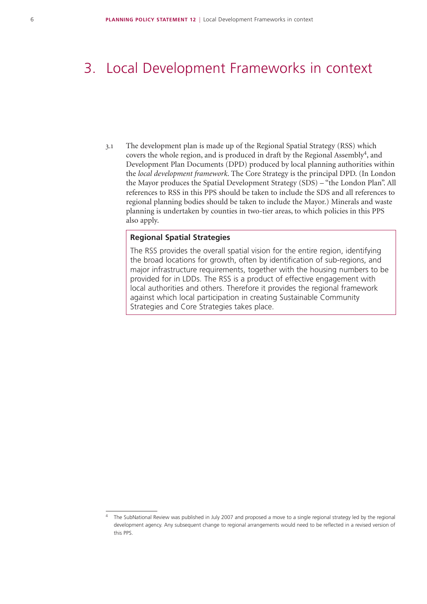### 3. Local Development Frameworks in context

3.1 The development plan is made up of the Regional Spatial Strategy (RSS) which covers the whole region, and is produced in draft by the Regional Assembly<sup>4</sup>, and Development Plan Documents (DPD) produced by local planning authorities within the *local development framework*. The Core Strategy is the principal DPD. (In London the Mayor produces the Spatial Development Strategy (SDS) – "the London Plan". All references to RSS in this PPS should be taken to include the SDS and all references to regional planning bodies should be taken to include the Mayor.) Minerals and waste planning is undertaken by counties in two-tier areas, to which policies in this PPS also apply.

#### **Regional Spatial Strategies**

The RSS provides the overall spatial vision for the entire region, identifying the broad locations for growth, often by identification of sub-regions, and major infrastructure requirements, together with the housing numbers to be provided for in LDDs. The RSS is a product of effective engagement with local authorities and others. Therefore it provides the regional framework against which local participation in creating Sustainable Community Strategies and Core Strategies takes place.

The SubNational Review was published in July 2007 and proposed a move to a single regional strategy led by the regional development agency. Any subsequent change to regional arrangements would need to be reflected in a revised version of this PPS.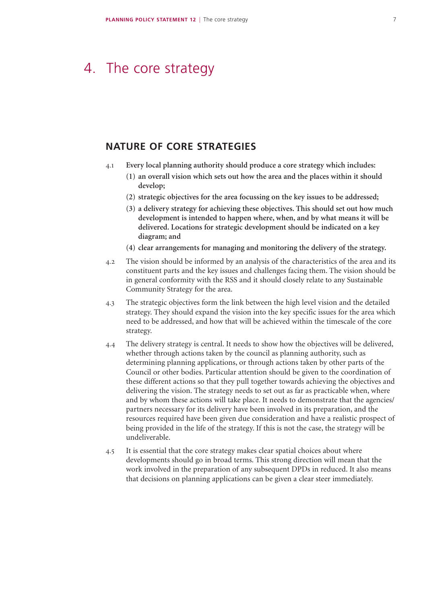## 4. The core strategy

### **NATURE OF CORE STRATEGIES**

- 4.1 **Every local planning authority should produce a core strategy which includes:**
	- **(1) an overall vision which sets out how the area and the places within it should develop;**
	- **(2) strategic objectives for the area focussing on the key issues to be addressed;**
	- **(3) a delivery strategy for achieving these objectives. This should set out how much development is intended to happen where, when, and by what means it will be delivered. Locations for strategic development should be indicated on a key diagram; and**
	- **(4) clear arrangements for managing and monitoring the delivery of the strategy.**
- 4.2 The vision should be informed by an analysis of the characteristics of the area and its constituent parts and the key issues and challenges facing them. The vision should be in general conformity with the RSS and it should closely relate to any Sustainable Community Strategy for the area.
- 4.3 The strategic objectives form the link between the high level vision and the detailed strategy. They should expand the vision into the key specific issues for the area which need to be addressed, and how that will be achieved within the timescale of the core strategy.
- 4.4 The delivery strategy is central. It needs to show how the objectives will be delivered, whether through actions taken by the council as planning authority, such as determining planning applications, or through actions taken by other parts of the Council or other bodies. Particular attention should be given to the coordination of these different actions so that they pull together towards achieving the objectives and delivering the vision. The strategy needs to set out as far as practicable when, where and by whom these actions will take place. It needs to demonstrate that the agencies/ partners necessary for its delivery have been involved in its preparation, and the resources required have been given due consideration and have a realistic prospect of being provided in the life of the strategy. If this is not the case, the strategy will be undeliverable.
- 4.5 It is essential that the core strategy makes clear spatial choices about where developments should go in broad terms. This strong direction will mean that the work involved in the preparation of any subsequent DPDs in reduced. It also means that decisions on planning applications can be given a clear steer immediately.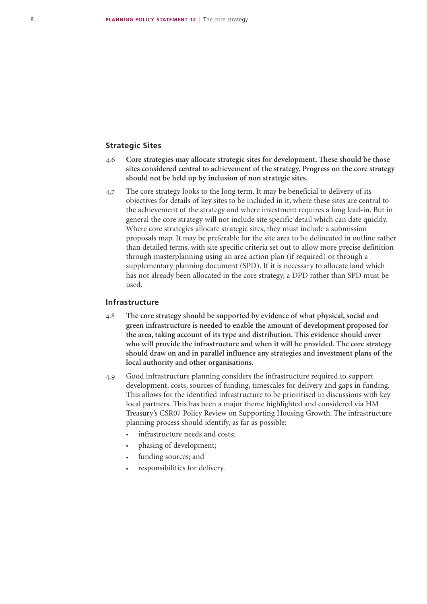#### **Strategic Sites**

- 4.6 **Core strategies may allocate strategic sites for development. These should be those sites considered central to achievement of the strategy. Progress on the core strategy should not be held up by inclusion of non strategic sites.**
- 4.7 The core strategy looks to the long term. It may be beneficial to delivery of its objectives for details of key sites to be included in it, where these sites are central to the achievement of the strategy and where investment requires a long lead-in. But in general the core strategy will not include site specific detail which can date quickly. Where core strategies allocate strategic sites, they must include a submission proposals map. It may be preferable for the site area to be delineated in outline rather than detailed terms, with site specific criteria set out to allow more precise definition through masterplanning using an area action plan (if required) or through a supplementary planning document (SPD). If it is necessary to allocate land which has not already been allocated in the core strategy, a DPD rather than SPD must be used.

#### **Infrastructure**

- 4.8 **The core strategy should be supported by evidence of what physical, social and green infrastructure is needed to enable the amount of development proposed for the area, taking account of its type and distribution. This evidence should cover who will provide the infrastructure and when it will be provided. The core strategy should draw on and in parallel influence any strategies and investment plans of the local authority and other organisations.**
- 4.9 Good infrastructure planning considers the infrastructure required to support development, costs, sources of funding, timescales for delivery and gaps in funding. This allows for the identified infrastructure to be prioritised in discussions with key local partners. This has been a major theme highlighted and considered via HM Treasury's CSR07 Policy Review on Supporting Housing Growth. The infrastructure planning process should identify, as far as possible:
	- infrastructure needs and costs;
	- phasing of development;
	- funding sources; and
	- responsibilities for delivery.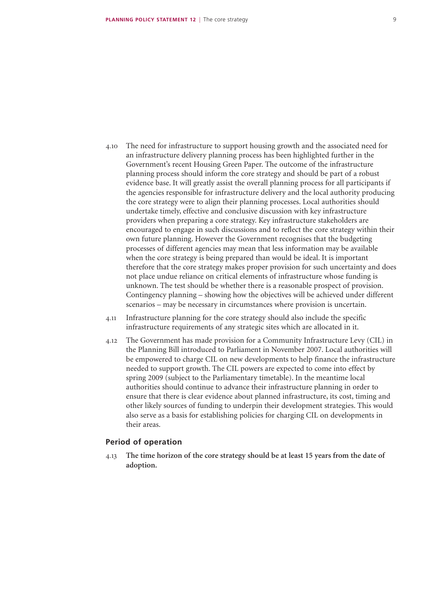- 4.10 The need for infrastructure to support housing growth and the associated need for an infrastructure delivery planning process has been highlighted further in the Government's recent Housing Green Paper. The outcome of the infrastructure planning process should inform the core strategy and should be part of a robust evidence base. It will greatly assist the overall planning process for all participants if the agencies responsible for infrastructure delivery and the local authority producing the core strategy were to align their planning processes. Local authorities should undertake timely, effective and conclusive discussion with key infrastructure providers when preparing a core strategy. Key infrastructure stakeholders are encouraged to engage in such discussions and to reflect the core strategy within their own future planning. However the Government recognises that the budgeting processes of different agencies may mean that less information may be available when the core strategy is being prepared than would be ideal. It is important therefore that the core strategy makes proper provision for such uncertainty and does not place undue reliance on critical elements of infrastructure whose funding is unknown. The test should be whether there is a reasonable prospect of provision. Contingency planning – showing how the objectives will be achieved under different scenarios – may be necessary in circumstances where provision is uncertain.
- 4.11 Infrastructure planning for the core strategy should also include the specific infrastructure requirements of any strategic sites which are allocated in it.
- 4.12 The Government has made provision for a Community Infrastructure Levy (CIL) in the Planning Bill introduced to Parliament in November 2007. Local authorities will be empowered to charge CIL on new developments to help finance the infrastructure needed to support growth. The CIL powers are expected to come into effect by spring 2009 (subject to the Parliamentary timetable). In the meantime local authorities should continue to advance their infrastructure planning in order to ensure that there is clear evidence about planned infrastructure, its cost, timing and other likely sources of funding to underpin their development strategies. This would also serve as a basis for establishing policies for charging CIL on developments in their areas.

#### **Period of operation**

4.13 **The time horizon of the core strategy should be at least 15 years from the date of adoption.**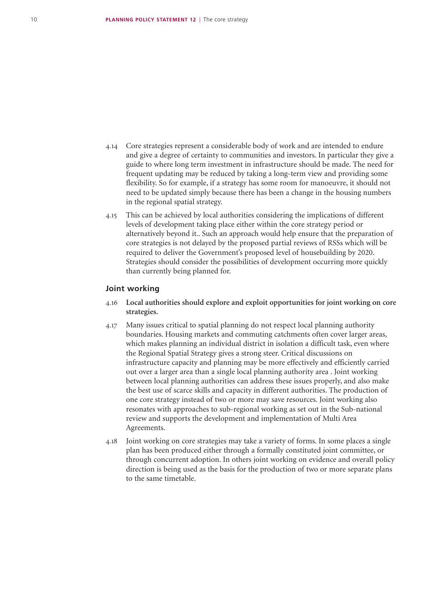- 4.14 Core strategies represent a considerable body of work and are intended to endure and give a degree of certainty to communities and investors. In particular they give a guide to where long term investment in infrastructure should be made. The need for frequent updating may be reduced by taking a long-term view and providing some flexibility. So for example, if a strategy has some room for manoeuvre, it should not need to be updated simply because there has been a change in the housing numbers in the regional spatial strategy.
- 4.15 This can be achieved by local authorities considering the implications of different levels of development taking place either within the core strategy period or alternatively beyond it.. Such an approach would help ensure that the preparation of core strategies is not delayed by the proposed partial reviews of RSSs which will be required to deliver the Government's proposed level of housebuilding by 2020. Strategies should consider the possibilities of development occurring more quickly than currently being planned for.

#### **Joint working**

- 4.16 **Local authorities should explore and exploit opportunities for joint working on core strategies.**
- 4.17 Many issues critical to spatial planning do not respect local planning authority boundaries. Housing markets and commuting catchments often cover larger areas, which makes planning an individual district in isolation a difficult task, even where the Regional Spatial Strategy gives a strong steer. Critical discussions on infrastructure capacity and planning may be more effectively and efficiently carried out over a larger area than a single local planning authority area . Joint working between local planning authorities can address these issues properly, and also make the best use of scarce skills and capacity in different authorities. The production of one core strategy instead of two or more may save resources. Joint working also resonates with approaches to sub-regional working as set out in the Sub-national review and supports the development and implementation of Multi Area Agreements.
- 4.18 Joint working on core strategies may take a variety of forms. In some places a single plan has been produced either through a formally constituted joint committee, or through concurrent adoption. In others joint working on evidence and overall policy direction is being used as the basis for the production of two or more separate plans to the same timetable.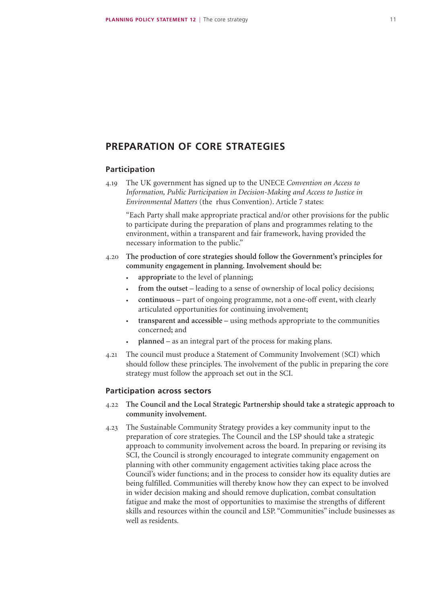### **PREPARATION OF CORE STRATEGIES**

#### **Participation**

4.19 The UK government has signed up to the UNECE *Convention on Access to Information, Public Participation in Decision-Making and Access to Justice in Environmental Matters* (the rhus Convention). Article 7 states:

"Each Party shall make appropriate practical and/or other provisions for the public to participate during the preparation of plans and programmes relating to the environment, within a transparent and fair framework, having provided the necessary information to the public."

- 4.20 **The production of core strategies should follow the Government's principles for community engagement in planning. Involvement should be:**
	- **appropriate** to the level of planning**;**
	- **from the outset** leading to a sense of ownership of local policy decisions**;**
	- **continuous** part of ongoing programme, not a one-off event, with clearly articulated opportunities for continuing involvement**;**
	- **transparent and accessible** using methods appropriate to the communities concerned**;** and
	- **planned** as an integral part of the process for making plans.
- 4.21 The council must produce a Statement of Community Involvement (SCI) which should follow these principles. The involvement of the public in preparing the core strategy must follow the approach set out in the SCI.

#### **Participation across sectors**

- 4.22 **The Council and the Local Strategic Partnership should take a strategic approach to community involvement.**
- 4.23 The Sustainable Community Strategy provides a key community input to the preparation of core strategies. The Council and the LSP should take a strategic approach to community involvement across the board. In preparing or revising its SCI, the Council is strongly encouraged to integrate community engagement on planning with other community engagement activities taking place across the Council's wider functions; and in the process to consider how its equality duties are being fulfilled. Communities will thereby know how they can expect to be involved in wider decision making and should remove duplication, combat consultation fatigue and make the most of opportunities to maximise the strengths of different skills and resources within the council and LSP. "Communities" include businesses as well as residents.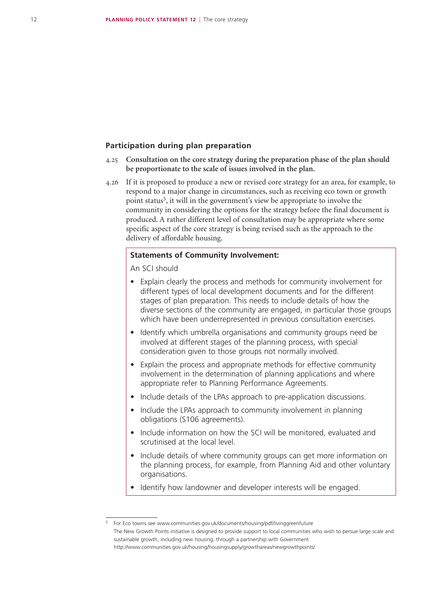#### **Participation during plan preparation**

- 4.25 **Consultation on the core strategy during the preparation phase of the plan should be proportionate to the scale of issues involved in the plan.**
- 4.26 If it is proposed to produce a new or revised core strategy for an area, for example, to respond to a major change in circumstances, such as receiving eco town or growth point status5, it will in the government's view be appropriate to involve the community in considering the options for the strategy before the final document is produced. A rather different level of consultation may be appropriate where some specific aspect of the core strategy is being revised such as the approach to the delivery of affordable housing.

#### **Statements of Community Involvement:**

An SCI should

- Explain clearly the process and methods for community involvement for different types of local development documents and for the different stages of plan preparation. This needs to include details of how the diverse sections of the community are engaged, in particular those groups which have been underrepresented in previous consultation exercises.
- Identify which umbrella organisations and community groups need be involved at different stages of the planning process, with special consideration given to those groups not normally involved.
- Explain the process and appropriate methods for effective community involvement in the determination of planning applications and where appropriate refer to Planning Performance Agreements.
- Include details of the LPAs approach to pre-application discussions.
- Include the LPAs approach to community involvement in planning obligations (S106 agreements).
- Include information on how the SCI will be monitored, evaluated and scrutinised at the local level.
- Include details of where community groups can get more information on the planning process, for example, from Planning Aid and other voluntary organisations.
- Identify how landowner and developer interests will be engaged.

<sup>5</sup> For Eco towns see www.communities.gov.uk/documents/housing/pdf/livinggreenfuture The New Growth Points initiative is designed to provide support to local communities who wish to persue large scale and sustainable growth, including new housing, through a partnership with Government http://www.communities.gov.uk/housing/housingsupply/growthareas/newgrowthpoints/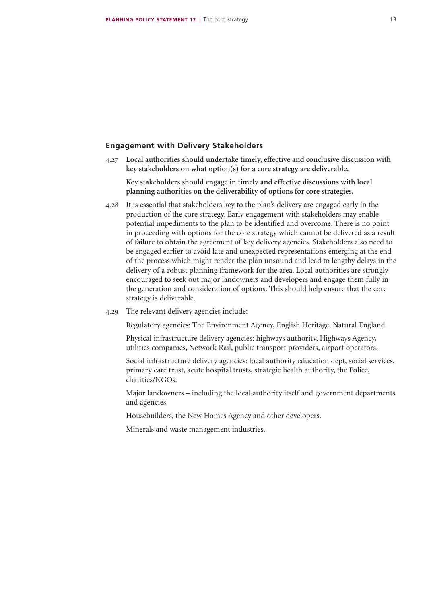#### **Engagement with Delivery Stakeholders**

4.27 **Local authorities should undertake timely, effective and conclusive discussion with key stakeholders on what option(s) for a core strategy are deliverable.**

**Key stakeholders should engage in timely and effective discussions with local planning authorities on the deliverability of options for core strategies.**

- 4.28 It is essential that stakeholders key to the plan's delivery are engaged early in the production of the core strategy. Early engagement with stakeholders may enable potential impediments to the plan to be identified and overcome. There is no point in proceeding with options for the core strategy which cannot be delivered as a result of failure to obtain the agreement of key delivery agencies. Stakeholders also need to be engaged earlier to avoid late and unexpected representations emerging at the end of the process which might render the plan unsound and lead to lengthy delays in the delivery of a robust planning framework for the area. Local authorities are strongly encouraged to seek out major landowners and developers and engage them fully in the generation and consideration of options. This should help ensure that the core strategy is deliverable.
- 4.29 The relevant delivery agencies include:

Regulatory agencies: The Environment Agency, English Heritage, Natural England.

Physical infrastructure delivery agencies: highways authority, Highways Agency, utilities companies, Network Rail, public transport providers, airport operators.

Social infrastructure delivery agencies: local authority education dept, social services, primary care trust, acute hospital trusts, strategic health authority, the Police, charities/NGOs.

Major landowners – including the local authority itself and government departments and agencies.

Housebuilders, the New Homes Agency and other developers.

Minerals and waste management industries.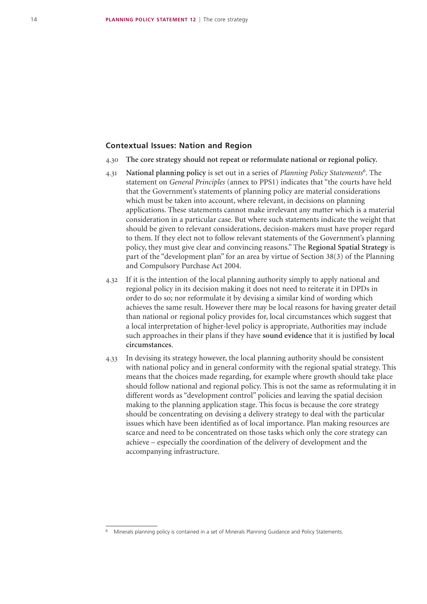#### **Contextual Issues: Nation and Region**

- 4.30 **The core strategy should not repeat or reformulate national or regional policy.**
- 4.31 **National planning policy** is set out in a series of *Planning Policy Statements<sup>6</sup>* . The statement on *General Principles* (annex to PPS1) indicates that "the courts have held that the Government's statements of planning policy are material considerations which must be taken into account, where relevant, in decisions on planning applications. These statements cannot make irrelevant any matter which is a material consideration in a particular case. But where such statements indicate the weight that should be given to relevant considerations, decision-makers must have proper regard to them. If they elect not to follow relevant statements of the Government's planning policy, they must give clear and convincing reasons." The **Regional Spatial Strategy** is part of the "development plan" for an area by virtue of Section 38(3) of the Planning and Compulsory Purchase Act 2004.
- 4.32 If it is the intention of the local planning authority simply to apply national and regional policy in its decision making it does not need to reiterate it in DPDs in order to do so; nor reformulate it by devising a similar kind of wording which achieves the same result. However there may be local reasons for having greater detail than national or regional policy provides for, local circumstances which suggest that a local interpretation of higher-level policy is appropriate, Authorities may include such approaches in their plans if they have **sound evidence** that it is justified **by local circumstances**.
- 4.33 In devising its strategy however, the local planning authority should be consistent with national policy and in general conformity with the regional spatial strategy. This means that the choices made regarding, for example where growth should take place should follow national and regional policy. This is not the same as reformulating it in different words as "development control" policies and leaving the spatial decision making to the planning application stage. This focus is because the core strategy should be concentrating on devising a delivery strategy to deal with the particular issues which have been identified as of local importance. Plan making resources are scarce and need to be concentrated on those tasks which only the core strategy can achieve – especially the coordination of the delivery of development and the accompanying infrastructure.

Minerals planning policy is contained in a set of Minerals Planning Guidance and Policy Statements.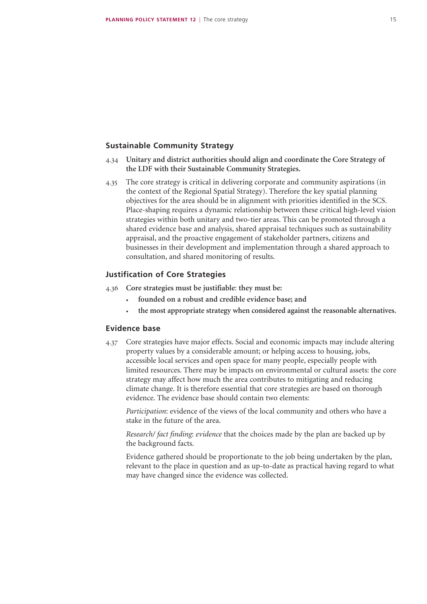#### **Sustainable Community Strategy**

- 4.34 **Unitary and district authorities should align and coordinate the Core Strategy of the LDF with their Sustainable Community Strategies.**
- 4.35 The core strategy is critical in delivering corporate and community aspirations (in the context of the Regional Spatial Strategy). Therefore the key spatial planning objectives for the area should be in alignment with priorities identified in the SCS. Place-shaping requires a dynamic relationship between these critical high-level vision strategies within both unitary and two-tier areas. This can be promoted through a shared evidence base and analysis, shared appraisal techniques such as sustainability appraisal, and the proactive engagement of stakeholder partners, citizens and businesses in their development and implementation through a shared approach to consultation, and shared monitoring of results.

#### **Justification of Core Strategies**

- 4.36 **Core strategies must be justifiable**: **they must be:**
	- **founded on a robust and credible evidence base; and**
	- **the most appropriate strategy when considered against the reasonable alternatives.**

#### **Evidence base**

4.37 Core strategies have major effects. Social and economic impacts may include altering property values by a considerable amount; or helping access to housing, jobs, accessible local services and open space for many people, especially people with limited resources. There may be impacts on environmental or cultural assets: the core strategy may affect how much the area contributes to mitigating and reducing climate change. It is therefore essential that core strategies are based on thorough evidence. The evidence base should contain two elements:

*Participation*: evidence of the views of the local community and others who have a stake in the future of the area.

*Research/ fact finding*: *evidence* that the choices made by the plan are backed up by the background facts.

Evidence gathered should be proportionate to the job being undertaken by the plan, relevant to the place in question and as up-to-date as practical having regard to what may have changed since the evidence was collected.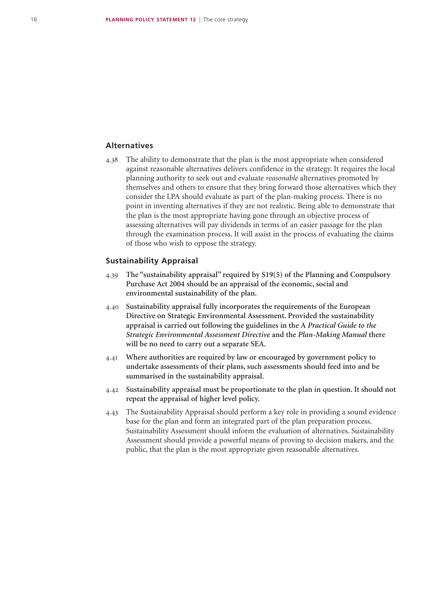#### **Alternatives**

4.38 The ability to demonstrate that the plan is the most appropriate when considered against reasonable alternatives delivers confidence in the strategy. It requires the local planning authority to seek out and evaluate *reasonable* alternatives promoted by themselves and others to ensure that they bring forward those alternatives which they consider the LPA should evaluate as part of the plan-making process. There is no point in inventing alternatives if they are not realistic. Being able to demonstrate that the plan is the most appropriate having gone through an objective process of assessing alternatives will pay dividends in terms of an easier passage for the plan through the examination process. It will assist in the process of evaluating the claims of those who wish to oppose the strategy.

#### **Sustainability Appraisal**

- 4.39 **The "sustainability appraisal" required by S19(5) of the Planning and Compulsory Purchase Act 2004 should be an appraisal of the economic, social and environmental sustainability of the plan.**
- 4.40 **Sustainability appraisal fully incorporates the requirements of the European Directive on Strategic Environmental Assessment. Provided the sustainability appraisal is carried out following the guidelines in the A** *Practical Guide to the Strategic Environmental Assessment Directive* **and the** *Plan-Making Manual* **there will be no need to carry out a separate SEA.**
- 4.41 **Where authorities are required by law or encouraged by government policy to undertake assessments of their plans, such assessments should feed into and be summarised in the sustainability appraisal.**
- 4.42 **Sustainability appraisal must be proportionate to the plan in question. It should not repeat the appraisal of higher level policy.**
- 4.43 The Sustainability Appraisal should perform a key role in providing a sound evidence base for the plan and form an integrated part of the plan preparation process. Sustainability Assessment should inform the evaluation of alternatives. Sustainability Assessment should provide a powerful means of proving to decision makers, and the public, that the plan is the most appropriate given reasonable alternatives.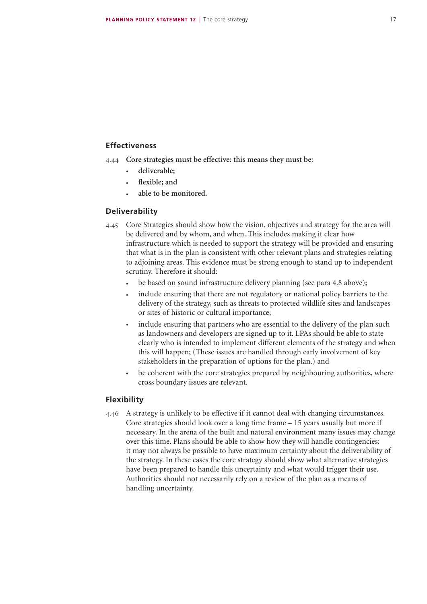#### **Effectiveness**

- 4.44 **Core strategies must be effective**: **this means they must be**:
	- **deliverable;**
	- **flexible; and**
	- **able to be monitored.**

#### **Deliverability**

- 4.45 Core Strategies should show how the vision, objectives and strategy for the area will be delivered and by whom, and when. This includes making it clear how infrastructure which is needed to support the strategy will be provided and ensuring that what is in the plan is consistent with other relevant plans and strategies relating to adjoining areas. This evidence must be strong enough to stand up to independent scrutiny. Therefore it should:
	- be based on sound infrastructure delivery planning (see para 4.8 above)**;**
	- include ensuring that there are not regulatory or national policy barriers to the delivery of the strategy, such as threats to protected wildlife sites and landscapes or sites of historic or cultural importance;
	- include ensuring that partners who are essential to the delivery of the plan such as landowners and developers are signed up to it. LPAs should be able to state clearly who is intended to implement different elements of the strategy and when this will happen; (These issues are handled through early involvement of key stakeholders in the preparation of options for the plan.) and
	- be coherent with the core strategies prepared by neighbouring authorities, where cross boundary issues are relevant.

#### **Flexibility**

4.46 A strategy is unlikely to be effective if it cannot deal with changing circumstances. Core strategies should look over a long time frame – 15 years usually but more if necessary. In the arena of the built and natural environment many issues may change over this time. Plans should be able to show how they will handle contingencies: it may not always be possible to have maximum certainty about the deliverability of the strategy. In these cases the core strategy should show what alternative strategies have been prepared to handle this uncertainty and what would trigger their use. Authorities should not necessarily rely on a review of the plan as a means of handling uncertainty.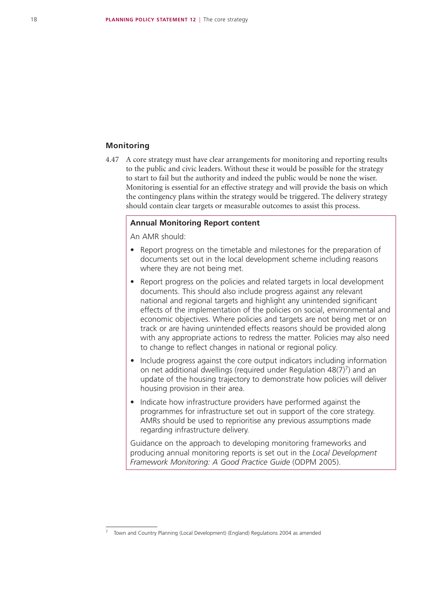#### **Monitoring**

4.47 A core strategy must have clear arrangements for monitoring and reporting results to the public and civic leaders. Without these it would be possible for the strategy to start to fail but the authority and indeed the public would be none the wiser. Monitoring is essential for an effective strategy and will provide the basis on which the contingency plans within the strategy would be triggered. The delivery strategy should contain clear targets or measurable outcomes to assist this process.

#### **Annual Monitoring Report content**

An AMR should:

- Report progress on the timetable and milestones for the preparation of documents set out in the local development scheme including reasons where they are not being met.
- Report progress on the policies and related targets in local development documents. This should also include progress against any relevant national and regional targets and highlight any unintended significant effects of the implementation of the policies on social, environmental and economic objectives. Where policies and targets are not being met or on track or are having unintended effects reasons should be provided along with any appropriate actions to redress the matter. Policies may also need to change to reflect changes in national or regional policy.
- Include progress against the core output indicators including information on net additional dwellings (required under Regulation  $48(7)^7$ ) and an update of the housing trajectory to demonstrate how policies will deliver housing provision in their area.
- Indicate how infrastructure providers have performed against the programmes for infrastructure set out in support of the core strategy. AMRs should be used to reprioritise any previous assumptions made regarding infrastructure delivery.

Guidance on the approach to developing monitoring frameworks and producing annual monitoring reports is set out in the *Local Development Framework Monitoring: A Good Practice Guide* (ODPM 2005).

<sup>7</sup> Town and Country Planning (Local Development) (England) Regulations 2004 as amended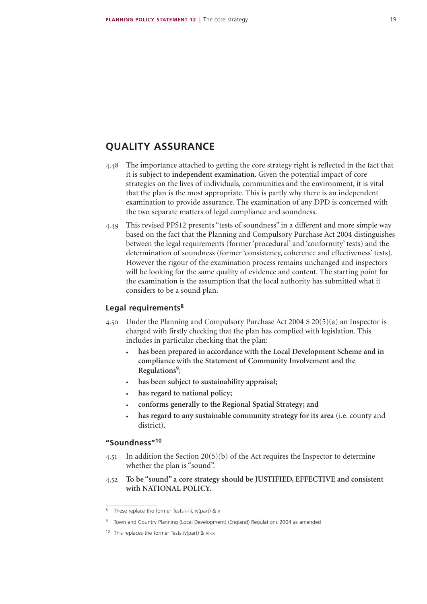### **QUALITY ASSURANCE**

- 4.48 The importance attached to getting the core strategy right is reflected in the fact that it is subject to **independent examination**. Given the potential impact of core strategies on the lives of individuals, communities and the environment, it is vital that the plan is the most appropriate. This is partly why there is an independent examination to provide assurance. The examination of any DPD is concerned with the two separate matters of legal compliance and soundness.
- 4.49 This revised PPS12 presents "tests of soundness" in a different and more simple way based on the fact that the Planning and Compulsory Purchase Act 2004 distinguishes between the legal requirements (former 'procedural' and 'conformity' tests) and the determination of soundness (former 'consistency, coherence and effectiveness' tests). However the rigour of the examination process remains unchanged and inspectors will be looking for the same quality of evidence and content. The starting point for the examination is the assumption that the local authority has submitted what it considers to be a sound plan.

#### **Legal requirements8**

- 4.50 Under the Planning and Compulsory Purchase Act 2004 S 20(5)(a) an Inspector is charged with firstly checking that the plan has complied with legislation. This includes in particular checking that the plan:
	- **has been prepared in accordance with the Local Development Scheme and in compliance with the Statement of Community Involvement and the Regulations9**;
	- has been subject to sustainability appraisal;
	- **has regard to national policy;**
	- **conforms generally to the Regional Spatial Strategy; and**
	- **has regard to any sustainable community strategy for its area** (i.e. county and district).

#### **"Soundness"10**

- 4.51 In addition the Section 20(5)(b) of the Act requires the Inspector to determine whether the plan is "sound".
- 4.52 **To be "sound" a core strategy should be JUSTIFIED, EFFECTIVE and consistent with NATIONAL POLICY.**

<sup>8</sup> These replace the former Tests i-iii, iv(part) & v

<sup>9</sup> Town and Country Planning (Local Development) (England) Regulations 2004 as amended

<sup>10</sup> This replaces the former Tests iv(part) & vi-ix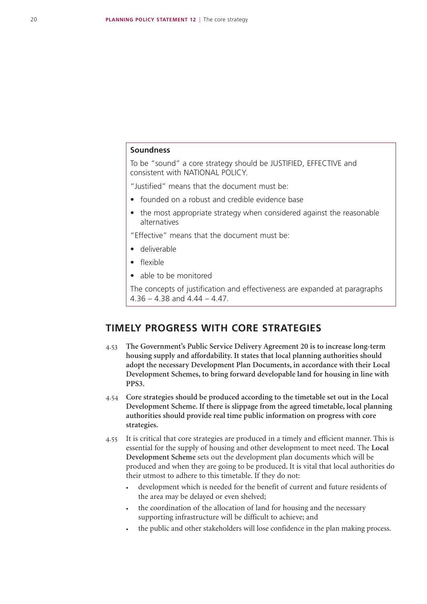#### **Soundness**

To be "sound" a core strategy should be JUSTIFIED, EFFECTIVE and consistent with NATIONAL POLICY.

"Justified" means that the document must be:

- founded on a robust and credible evidence base
- the most appropriate strategy when considered against the reasonable alternatives

"Effective" means that the document must be:

- • deliverable
- • flexible
- able to be monitored

The concepts of justification and effectiveness are expanded at paragraphs  $4.36 - 4.38$  and  $4.44 - 4.47$ .

### **TIMELY PROGRESS WITH CORE STRATEGIES**

- 4.53 **The Government's Public Service Delivery Agreement 20 is to increase long-term housing supply and affordability. It states that local planning authorities should adopt the necessary Development Plan Documents, in accordance with their Local Development Schemes, to bring forward developable land for housing in line with PPS3.**
- 4.54 **Core strategies should be produced according to the timetable set out in the Local Development Scheme. If there is slippage from the agreed timetable, local planning authorities should provide real time public information on progress with core strategies.**
- 4.55 It is critical that core strategies are produced in a timely and efficient manner. This is essential for the supply of housing and other development to meet need. The **Local Development Scheme** sets out the development plan documents which will be produced and when they are going to be produced**.** It is vital that local authorities do their utmost to adhere to this timetable. If they do not:
	- development which is needed for the benefit of current and future residents of the area may be delayed or even shelved;
	- the coordination of the allocation of land for housing and the necessary supporting infrastructure will be difficult to achieve; and
	- the public and other stakeholders will lose confidence in the plan making process.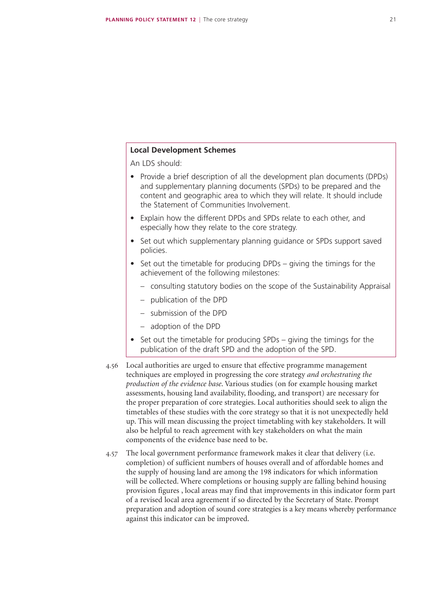#### **Local Development Schemes**

An LDS should:

- Provide a brief description of all the development plan documents (DPDs) and supplementary planning documents (SPDs) to be prepared and the content and geographic area to which they will relate. It should include the Statement of Communities Involvement.
- Explain how the different DPDs and SPDs relate to each other, and especially how they relate to the core strategy.
- Set out which supplementary planning quidance or SPDs support saved policies.
- Set out the timetable for producing DPDs giving the timings for the achievement of the following milestones:
	- consulting statutory bodies on the scope of the Sustainability Appraisal
	- publication of the DPD
	- submission of the DPD
	- adoption of the DPD
- Set out the timetable for producing SPDs giving the timings for the publication of the draft SPD and the adoption of the SPD.
- 4.56 Local authorities are urged to ensure that effective programme management techniques are employed in progressing the core strategy *and orchestrating the production of the evidence base*. Various studies (on for example housing market assessments, housing land availability, flooding, and transport) are necessary for the proper preparation of core strategies. Local authorities should seek to align the timetables of these studies with the core strategy so that it is not unexpectedly held up. This will mean discussing the project timetabling with key stakeholders. It will also be helpful to reach agreement with key stakeholders on what the main components of the evidence base need to be.
- 4.57 The local government performance framework makes it clear that delivery (i.e. completion) of sufficient numbers of houses overall and of affordable homes and the supply of housing land are among the 198 indicators for which information will be collected. Where completions or housing supply are falling behind housing provision figures , local areas may find that improvements in this indicator form part of a revised local area agreement if so directed by the Secretary of State. Prompt preparation and adoption of sound core strategies is a key means whereby performance against this indicator can be improved.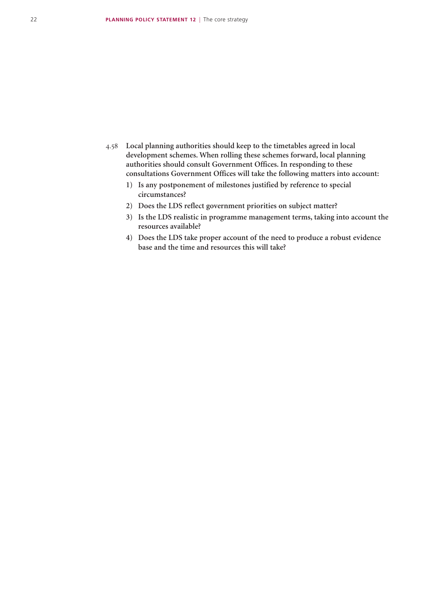- 4.58 **Local planning authorities should keep to the timetables agreed in local development schemes. When rolling these schemes forward, local planning authorities should consult Government Offices. In responding to these consultations Government Offices will take the following matters into account:**
	- **1) Is any postponement of milestones justified by reference to special circumstances?**
	- **2) Does the LDS reflect government priorities on subject matter?**
	- **3) Is the LDS realistic in programme management terms, taking into account the resources available?**
	- **4) Does the LDS take proper account of the need to produce a robust evidence base and the time and resources this will take?**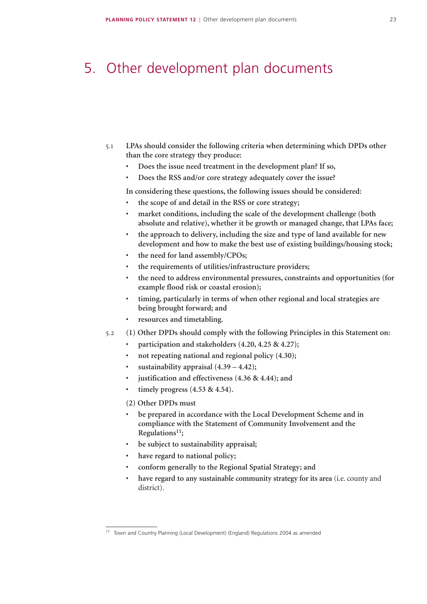### 5. Other development plan documents

- 5.1 **LPAs should consider the following criteria when determining which DPDs other than the core strategy they produce:**
	- **• Does the issue need treatment in the development plan? If so,**
	- **• Does the RSS and/or core strategy adequately cover the issue?**

**In considering these questions, the following issues should be considered:**

- **• the scope of and detail in the RSS or core strategy;**
- **• market conditions, including the scale of the development challenge (both absolute and relative), whether it be growth or managed change, that LPAs face;**
- the approach to delivery, including the size and type of land available for new **development and how to make the best use of existing buildings/housing stock;**
- **• the need for land assembly/CPOs;**
- **• the requirements of utilities/infrastructure providers;**
- **• the need to address environmental pressures, constraints and opportunities (for example flood risk or coastal erosion);**
- **• timing, particularly in terms of when other regional and local strategies are being brought forward; and**
- **• resources and timetabling.**
- 5.2 **(1) Other DPDs should comply with the following Principles in this Statement on:**
	- **• participation and stakeholders (4.20, 4.25 & 4.27);**
	- **holder holder repeating national and regional policy** (4.30);
	- **sustainability appraisal**  $(4.39 4.42);$
	- **justification** and **effectiveness**  $(4.36 \& 4.44)$ ; and
	- **timely** progress  $(4.53 \& 4.54)$ .

#### **(2) Other DPDs must**

- **• be prepared in accordance with the Local Development Scheme and in compliance with the Statement of Community Involvement and the Regulations11;**
- **• be subject to sustainability appraisal;**
- **• have regard to national policy;**
- **• conform generally to the Regional Spatial Strategy; and**
- **• have regard to any sustainable community strategy for its area** (i.e. county and district).

<sup>11</sup> Town and Country Planning (Local Development) (England) Regulations 2004 as amended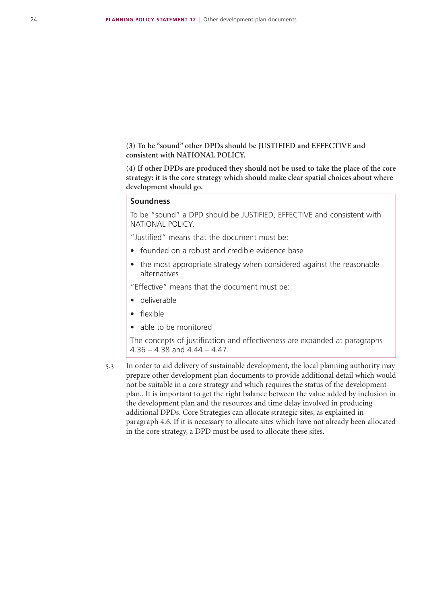**(3) To be "sound" other DPDs should be JUSTIFIED and EFFECTIVE and consistent with NATIONAL POLICY.**

**(4) If other DPDs are produced they should not be used to take the place of the core strategy: it is the core strategy which should make clear spatial choices about where development should go.**

#### **Soundness**

To be "sound" a DPD should be JUSTIFIED, EFFECTIVE and consistent with NATIONAL POLICY.

"Justified" means that the document must be:

- founded on a robust and credible evidence base
- the most appropriate strategy when considered against the reasonable alternatives

"Effective" means that the document must be:

- • deliverable
- • flexible
- able to be monitored

The concepts of justification and effectiveness are expanded at paragraphs  $4.36 - 4.38$  and  $4.44 - 4.47$ .

5.3 In order to aid delivery of sustainable development, the local planning authority may prepare other development plan documents to provide additional detail which would not be suitable in a core strategy and which requires the status of the development plan.. It is important to get the right balance between the value added by inclusion in the development plan and the resources and time delay involved in producing additional DPDs. Core Strategies can allocate strategic sites, as explained in paragraph 4.6. If it is necessary to allocate sites which have not already been allocated in the core strategy, a DPD must be used to allocate these sites.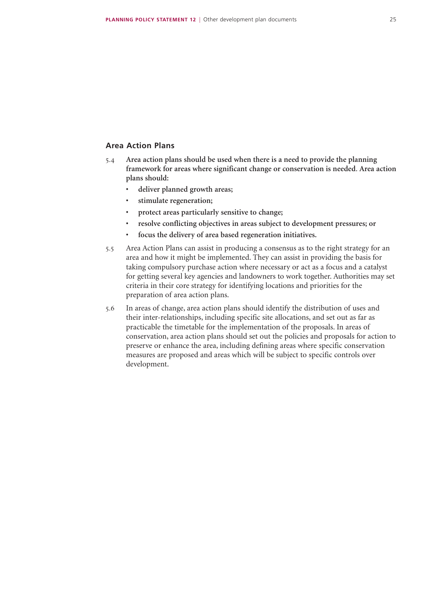#### **Area Action Plans**

- 5.4 **Area action plans should be used when there is a need to provide the planning framework for areas where significant change or conservation is needed**. **Area action plans should:**
	- **• deliver planned growth areas;**
	- **• stimulate regeneration;**
	- **• protect areas particularly sensitive to change;**
	- **• resolve conflicting objectives in areas subject to development pressures; or**
	- **• focus the delivery of area based regeneration initiatives.**
- 5.5 Area Action Plans can assist in producing a consensus as to the right strategy for an area and how it might be implemented. They can assist in providing the basis for taking compulsory purchase action where necessary or act as a focus and a catalyst for getting several key agencies and landowners to work together. Authorities may set criteria in their core strategy for identifying locations and priorities for the preparation of area action plans.
- 5.6 In areas of change, area action plans should identify the distribution of uses and their inter-relationships, including specific site allocations, and set out as far as practicable the timetable for the implementation of the proposals. In areas of conservation, area action plans should set out the policies and proposals for action to preserve or enhance the area, including defining areas where specific conservation measures are proposed and areas which will be subject to specific controls over development.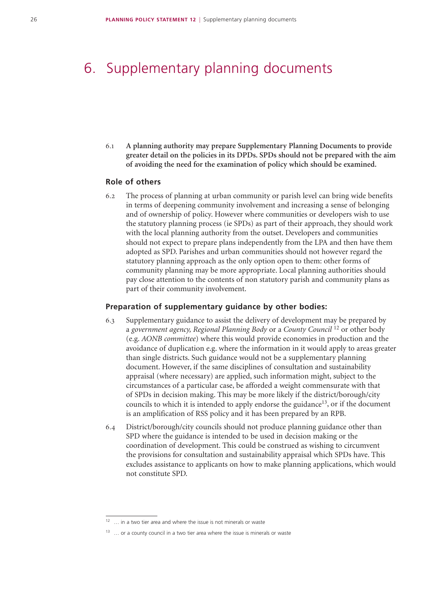# 6. Supplementary planning documents

6.1 **A planning authority may prepare Supplementary Planning Documents to provide greater detail on the policies in its DPDs. SPDs should not be prepared with the aim of avoiding the need for the examination of policy which should be examined.**

#### **Role of others**

6.2 The process of planning at urban community or parish level can bring wide benefits in terms of deepening community involvement and increasing a sense of belonging and of ownership of policy. However where communities or developers wish to use the statutory planning process (ie SPDs) as part of their approach, they should work with the local planning authority from the outset. Developers and communities should not expect to prepare plans independently from the LPA and then have them adopted as SPD. Parishes and urban communities should not however regard the statutory planning approach as the only option open to them: other forms of community planning may be more appropriate. Local planning authorities should pay close attention to the contents of non statutory parish and community plans as part of their community involvement.

#### **Preparation of supplementary guidance by other bodies:**

- 6.3 Supplementary guidance to assist the delivery of development may be prepared by a *government agency, Regional Planning Body* or a *County Council* 12 or other body (e.g. *AONB committee*) where this would provide economies in production and the avoidance of duplication e.g. where the information in it would apply to areas greater than single districts. Such guidance would not be a supplementary planning document. However, if the same disciplines of consultation and sustainability appraisal (where necessary) are applied, such information might, subject to the circumstances of a particular case, be afforded a weight commensurate with that of SPDs in decision making. This may be more likely if the district/borough/city councils to which it is intended to apply endorse the guidance<sup>13</sup>, or if the document is an amplification of RSS policy and it has been prepared by an RPB.
- 6.4 District/borough/city councils should not produce planning guidance other than SPD where the guidance is intended to be used in decision making or the coordination of development. This could be construed as wishing to circumvent the provisions for consultation and sustainability appraisal which SPDs have. This excludes assistance to applicants on how to make planning applications, which would not constitute SPD.

 $\ldots$  in a two tier area and where the issue is not minerals or waste

 $13$  ... or a county council in a two tier area where the issue is minerals or waste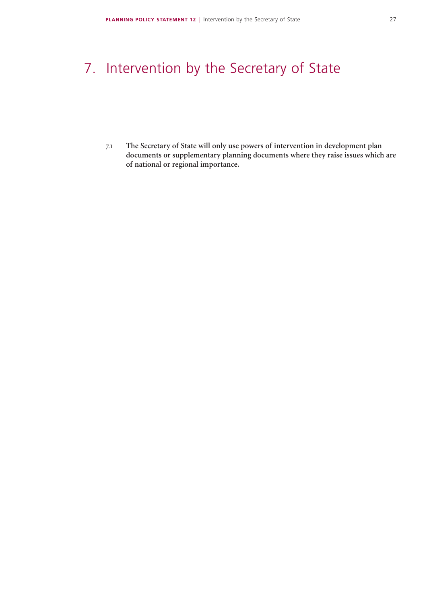# 7. Intervention by the Secretary of State

7.1 **The Secretary of State will only use powers of intervention in development plan documents or supplementary planning documents where they raise issues which are of national or regional importance.**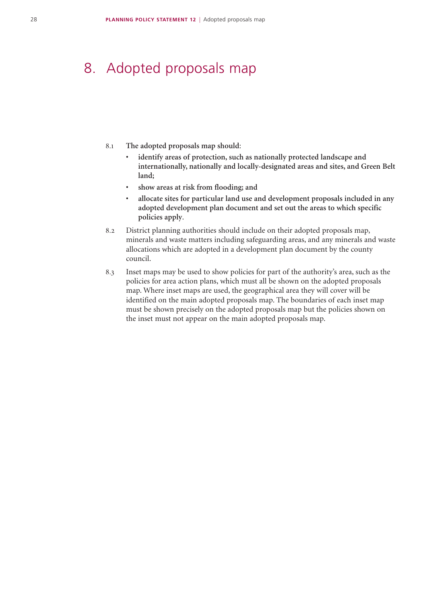### 8. Adopted proposals map

- 8.1 **The adopted proposals map should**:
	- **identify areas of protection, such as nationally protected landscape and internationally, nationally and locally-designated areas and sites, and Green Belt land;**
	- **• show areas at risk from flooding; and**
	- allocate sites for particular land use and development proposals included in any **adopted development plan document and set out the areas to which specific policies apply**.
- 8.2 District planning authorities should include on their adopted proposals map, minerals and waste matters including safeguarding areas, and any minerals and waste allocations which are adopted in a development plan document by the county council.
- 8.3 Inset maps may be used to show policies for part of the authority's area, such as the policies for area action plans, which must all be shown on the adopted proposals map. Where inset maps are used, the geographical area they will cover will be identified on the main adopted proposals map. The boundaries of each inset map must be shown precisely on the adopted proposals map but the policies shown on the inset must not appear on the main adopted proposals map.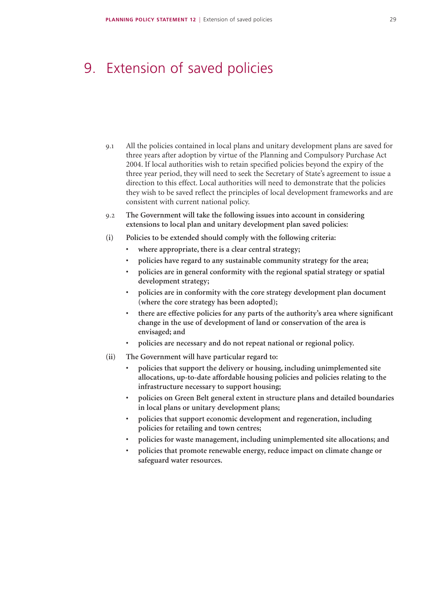### 9. Extension of saved policies

- 9.1 All the policies contained in local plans and unitary development plans are saved for three years after adoption by virtue of the Planning and Compulsory Purchase Act 2004. If local authorities wish to retain specified policies beyond the expiry of the three year period, they will need to seek the Secretary of State's agreement to issue a direction to this effect. Local authorities will need to demonstrate that the policies they wish to be saved reflect the principles of local development frameworks and are consistent with current national policy.
- 9.2 **The Government will take the following issues into account in considering extensions to local plan and unitary development plan saved policies:**
- **(i) Policies to be extended should comply with the following criteria:** 
	- **• where appropriate, there is a clear central strategy;**
	- **• policies have regard to any sustainable community strategy for the area;**
	- **• policies are in general conformity with the regional spatial strategy or spatial development strategy;**
	- **• policies are in conformity with the core strategy development plan document (where the core strategy has been adopted);**
	- **• there are effective policies for any parts of the authority's area where significant change in the use of development of land or conservation of the area is envisaged; and**
	- **• policies are necessary and do not repeat national or regional policy.**
- **(ii) The Government will have particular regard to:** 
	- **• policies that support the delivery or housing, including unimplemented site allocations, up-to-date affordable housing policies and policies relating to the infrastructure necessary to support housing;**
	- **• policies on Green Belt general extent in structure plans and detailed boundaries in local plans or unitary development plans;**
	- **• policies that support economic development and regeneration, including policies for retailing and town centres;**
	- **• policies for waste management, including unimplemented site allocations; and**
	- **• policies that promote renewable energy, reduce impact on climate change or safeguard water resources.**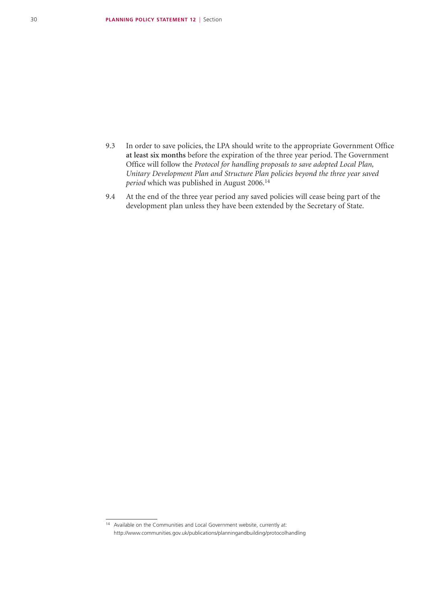- 9.3 In order to save policies, the LPA should write to the appropriate Government Office **at least six months** before the expiration of the three year period. The Government Office will follow the *Protocol for handling proposals to save adopted Local Plan, Unitary Development Plan and Structure Plan policies beyond the three year saved period* which was published in August 2006.<sup>14</sup>
- 9.4 At the end of the three year period any saved policies will cease being part of the development plan unless they have been extended by the Secretary of State.

<sup>14</sup> Available on the Communities and Local Government website, currently at: http://www.communities.gov.uk/publications/planningandbuilding/protocolhandling